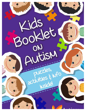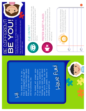This booklet is just for you – grade! It has information about kids and grown-ups with autism This booklet is just for you -Kids in kindergarten through 5<sup>th</sup> grade! It has information about kids and grown-ups with autism Kids in kindergarten through 5th and fun activities, too. and fun activities, too.

This booklet will answer some of your questions about autism. If you have more questions or feelings you need to talk about when you're finished, be sure to talk to a parent, teacher, or This booklet will answer some of your questions about autism. when you're finished, be sure to talk to a parent, teacher, or If you have more questions or feelings you need to talk about another grown-up. another grown-up.

# Have fun!

# **FRENT**  $\frac{1}{\sqrt{2}}$

Being different is okay. It's what makes our world an interesting and exciting place. Being different is okay. It's what makes our world an interesting and exciting place.

Here are some unique qualities that some kids with Here are some unique qualities that some kids with autism might have: autism might have:





#### $\frac{\pi}{2}$ E Conta し<br>し

Some people with autism do not look others in the eye. Just because they are not looking at you, doesn't mean Just because they are not looking at you, doesn't mean they do not care about what you are saying or don't they do not care about what you are saying or don't hear you.



#### PREFER QUIEt PL PREFER QUIET PLACES

happening at the same time can be extra scary or hurt happening at the same time can be extra scary or hurt For kids with autism, loud or many different sounds For kids with autism, loud or many different sounds Loud noises can make anyone nervous or scared. Loud noises can make anyone nervous or scared. their ears a lot. their ears a lot.

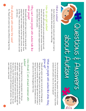## Questions & answers about<br>And  $\mathbf D$ utism

#### What is autism? What is autism?

talk, understand other people or learn new things. talk, understand other people or learn new things. Autism affects how the brain works and might make it hard to Autism affects how the brain works and might make it hard to

#### How do you get autism? How do you get autisw?

are trying to figure out exactly how autism happens and how to teach children with autism. teach children with autism. are trying to figure out exactly how autism happens and how to brown hair and some people are born with freckles. Scientists You are born with autism just as some people are born with You are born with autism just as some people are born with brown hair and some people are born with freckles. Scientists

### other people? Why cav't some people with autism talk like other people? Why can't some people with autism talk like

an iPad. Then, there are other people with autism who can talk may even say the same word or sentence over and over. Some Just like you just like you. an iPad. Then, there are other people with autism who can talk people don't talk but instead use their hands, pictures, or even Many people with autism have a hard time using words and people don't talk but instead use their hands, pictures, or even may even say the same word or sentence over and over. Some Many people with autism have a hard time using words and

# are all people with autism the same? Are all people vith actiss the sase?

No. People with autism have many different things that they No. People with autism have many different things that they

> someone with autism, how is he or she special? in his or her own special way. How are you special? If you know like to do and are good at. Every person in the world is unique someone with autism, how is he or she special? in his or her own special way. How are you special? If you know like to do and are good at. Every person in the world is unique

### grow up? What are people with autism like when they What are people with autism like when they

will need a lot of help throughout their lives. working on a computer. Some of them get married and have a they grow up. They might have a job at a store, as an artist, or People with autism can learn to do all sorts of things when family; some live on their own or with roommates and others will need a lot of help throughout their lives. family; some live on their own or with roommates and others working on a computer. Some of them get married and have a they grow up. They might have a job at a store, as an artist, or People with autism can learn to do all sorts of things when

#### autism? How should I act around someowe with How should I act around someone with

even make a new friend! be yourself when you are with someone with autism. You may than you, they still have feelings and care about you. So just her attention. Even if someone with autism acts differently with autism, maybe a grown-up could show you how to get his/ usually would. If you are not sure how to hang out with a kid even make a new friend! be yourself when you are with someone with autism. You may than you, they still have feelings and care about you. So just her attention. Even if someone with autism acts differently with autism, maybe a grown-up could show you how to get his/ usually would. If you are not sure how to hang out with a kid You should always try to be a caring person. Act like you You should always try to be a caring person. Act like you

 $\overline{\omega}$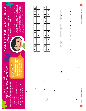**.8**

Answers: **www.autismnj.org/hub** Answers: **www.autismnj.org/hub**



**.16**

**.15**

**.18**

- 
- 
- 21 10 2 4 18 24 15 6  $\frac{8}{10}$ 4  $\overline{\mathcal{L}}$  $\overline{C}$  $\overline{21}$
- 
- 
- $\mathcal{Q}$  $\overline{C}$ 26 1 6 10  $\circ$ 10 2  $\overline{ }$ 26 17 4
- 
- 
- 
- 
- 
- 
- 
- 
- 
- 
- 
- 
- 
- 
- 
- 
- 
- 
- 
- 
- -
- 22 1 10 10 2  $\circ$  $\frac{15}{1}$  $\overline{24}$

ഗ

Answers: www.autismnj.org/hub

below. Each of the letters has a corresponding number. a KEY that lists all the letters from A thru Z with a box This puzzle is called a Cryptogram. At the top there is<br>a KEY that lists all the letters from A thru Z with a box below. Each of the letters has a corresponding number. This puzzle is called a Cryptogram. At the top there is

> Go to **www.autismnj.org/hub** to download and print an awareness ribbon coloring page.

Go to www.autismnj.org/hub to download and print an awareness ribbon coloring page.

Color Ribbon

Why is it important to

Why is it important to

Autism Awareness Secret Message

aPRIL is Autism Awareness Month! What can you do to help?

What can you do to help?

**APRIL** is Autism Awareness Month!

Directions:

Directions:

awareness Secret Message

spread autism awareness?

spread autism awareness?

*When people do not know about autism…* • They might wake fuw of someone

When people do not know about autism... • They might wake fuw of someone

with autism.

with autism.

 $\bullet$  They might be afraid of someone

. They might be afraid of someone

with autism.

with autism.

 $\bullet$  They will not know how to act around someone with autism.

. They will not know how to act around someone with autism.

The bottom part contains a secret phrase. Each of the The bottom part contains a secret phrase. Each of the blanks has a number underneath it. Fill in the letters blanks has a number underneath it. Fill in the letters

that correspond to the numbers below the blanks to that correspond to the numbers below the blanks to solve the phrase. solve the phrase.

| 4.                    | rù.          |
|-----------------------|--------------|
|                       | $\ddot{z}$   |
| $\cdot$ <sup>12</sup> | $\ddot{.}13$ |
|                       | Θ            |























**.6**

**.19**

**.7**

**.10**

**.14**

**.9**





















 $\overline{\mathcal{A}}$ 

6

Z

 $\overline{C}$ 

თ

 $\overline{r}$ 

 $\infty$ 

 $18$ 

24 | 15

 $\infty$ 

 $\frac{2}{1}$ 

 $\frac{1}{2}$ 

14 23 13

 $\frac{1}{4}$ 

 $\overline{23}$ 

 $13$ 

 $\subset$ 

 $\Delta$ 

 $\overline{C}$ 

 $\propto$ 

 $\mathcal O$ 

 $\vdash$ 

 $\supset$ 

 $\geq$ 

 $\geq$ 

 $\mathsf{\geq}$ 

 $\geq$ 

 $\overline{\phantom{1}}$ 

17 19

 $\overline{17}$ 

 $\overline{\mathcal{L}}$ 

 $\overline{0}$ 

4

 $\overline{\phantom{0}}$ 

 $\frac{0}{1}$ 

 $\overline{2}$ 

20

 $\overline{1}$ 

25

82

LO

 $\mathbf{\Omega}$ 

 $\circ$ 

 $\bigcap$ 

 $\sqcup$ 

LL.

G

ー<br>エ<br>エ

 $\bm{\times}$ 

 $\overline{\phantom{0}}$ 

 $\bar{\ge}$ 

**.3**



**.2**

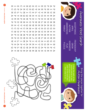$\sigma$ 

団  $\vdash$  $\Omega$  $\Omega$  $\mathsf{K}$ 国  $\mathcal{O}$  $D$  0 日 団  $\Box$ 吋 A A I U K D B H G Z S W G I P Z 口 E C N A T P E C C A K W F Q A S P L Y E D V D D U O L A L B C A J H F N V Y L M D I P W D Y K M Q H B T C P M W M Y O E H U I Q W Z Q K V F S A A W A Q S C N F O B B R A R F K A N S Q Z X D P W I S W J I K E E U T L Y I N E N A A U T I S M E E Y G D L R S U E L X D A X D F K S Z B A G S N N I G F T F E H Z W O R G R E U Q R S E P P N A G M O S Z S E U B V A I G G P K F Z C B F P Y Z P Y I X V O P N E V H R W U V O D  $H$  $\Omega$  $\Omega$ 己 Ъ 欠  $\Box$ **OI NO**  $\bowtie$ 団 団 団 F  $\vdash$  $\mathbf{Z}$  $\mathbb{Z}$  $\mathbf N$  $\prec$  $\Omega$ ⊢ Σ  $\mathsf{H}$  $\Omega$  $\overline{\phantom{a}}$  $\mathbf{K}$ 서 口  $\Box$  $\mathbf Z$  $\triangleright$ А  $\mathbf{Z}$  $\Omega$  $\aleph$ Ӈ ㅁ ۱O ۱O X  $\blacktriangleright$  $\bigcirc$  $\Omega$ N  $\Omega$ H  $\mathbf N$ 엇 ᄓ 工 ⊠ 吋 Ӈ U ≿  $\Box$ 禸 U 乚 ᄓ d  $\mathbf Z$ ω N  $\circ$ 口  $\mathbf{Z}$  $\mathbf{z}$  $\mathsf{H}$  $\overline{\omega}$  $\bigcirc$  $\overline{\omega}$  $\boxtimes$ 国  $\overline{\mathbf{N}}$  $\prec$  $\prec$  $\mathbf{H}$  $\overline{\omega}$ ⊠ 団 団 ヷ A 耳  $\bigcirc$ ۱O ヷ  $\Omega$  $\Omega$ ω  $\overline{\mathbf{Z}}$  $\prec$  $\Omega$  $\Omega$ Ω  $\Omega$  $\Omega$  $\boldsymbol{\mathsf{K}}$  $\vdash$ C  $\overline{\Omega}$  $\operatorname{\lhd}$ 欠 A Η  $\overline{\mathbf{C}}$  $\Omega$ 欠  $\mathbf N$  $\overline{\mathbf{N}}$ ₩ <u>က</u> ᠊ᡉ А  $\mathbf{Z}$  $\Omega$  $\Omega$ S ヷ 団 団 ᄓ S  $\Xi$ ᄓ כ ע 又 只  $\mathbf{Z}$  $\leq$ 団 ≲  $\Box$ Ӈ S  $\Omega$  $\Box$  $\mathbf C$ ≿  $\mathbf{H}$  $\boxtimes$  $\Omega$  $\Box$  $\mathsf{K}$ Σ ע ᄓ ┪  $\Box$  $\vdash$ **O** 丏 N ע P  $\mathsf{K}$ ע 엇 ㅈ ⊣  $\prec$ Ò  $\Omega$ ヷ  $\vdash$  $\Delta$  $\bigcirc$  $\Omega$  $\Omega$ P  $\triangleleft$ Õ ≲  $\mathbf C$ ≲ ע け בל 吋  $\Delta$ 団  $\mathbf{N}$  $\Box$  $\triangleright$ А  $\mathsf{K}$  $\overline{\omega}$  $\Box$ 団  $\mathbf{Z}$  $\mathsf{X}$  $H$ 団  $\mathbb{N}$ 





Bring the pieces together for Bring the pieces together for<br>Autism Awareness awareness

which piece it matches which piece it matches Follow the path of the -ollow the path of the with at the end and puzzle pieces to see puzzle pieces to see with at the end and then color it in! then color it in!

AUTISM AWARENESS FAMILY

**AWARENESS** 

KINDNESS PLAY PUZZLE

Answers: www.autismnj.org/hub Answers: **www.autismnj.org/hub**

 $\overline{\phantom{0}}$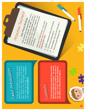

If you are interested in spreading autism awareness in your school or neighborhood, ask a grown-up to register you for Autism New Jersey's free Ambassador Program. Learn more by visiting our Ambassador ask a grown-up to register you for Autism New Jersey's free Ambassador Program. Learn more by visiting our Ambassador awareness in your school or neighborhood, If you are interested in spreading autism Hub, www.autismnj.org/hub. Hub, www.autismnj.org/hub.

Attention

Teachers!

*Help Prevent Bullying*

Help students to understand ways in which we are all different and that having a disability is all different and ways in which the peer support of these differences.<br>Stablishing peer support and that having a<br>tivities can reduce support frese differences. Establishing peer support programs and

activities can reduce bullying and promote<br>friendships...<br>Check out "In the Schools" of our promote<br>resources will for the Schools" of our Hub.

Check out "In the Schools" <sup>Juig</sup> and p<br>**Ww.autismn: org/hub** for or our Hub,<br>sources like these.<br>A www.autismnj.org/hub for kid-friendly

resources like these:<br>Waperlines like these:

• Autis<sub>m</sub>

Awaren<sub>ess</sub>

 $\epsilon$  Kid-friendly<br>Do:

Craft<sub>S</sub>

BOE

Presentations<br>Tesentations

 $7^{6}$ 

**A**ecommended<br>Aecommended

like

 $t\hbar$ e

Kids  $\mathcal{O}$ ิิ  $\overline{\mathbf{x}}$ 

Reading

 $L$ ists

 $\begin{array}{c} \bullet \ \mathcal{D}$ Olv $n$ loada $b$ le

Activities

friendships.<br><sup>friendships..</sup>

#### Contests

In April, we have fun contests like our Autism Awareness Bookmark Contest. The winner will have his/her art printed on the back of next year's Autism Awareness Bookmark. will have his/her art printed on the back of next year's Autism Awareness Bookmark. Awareness Bookmark Contest. The winner In April, we have fun contests like our Autism See details at, www.autismnj.org/hub. See details at, www.autismnj.org/hub.